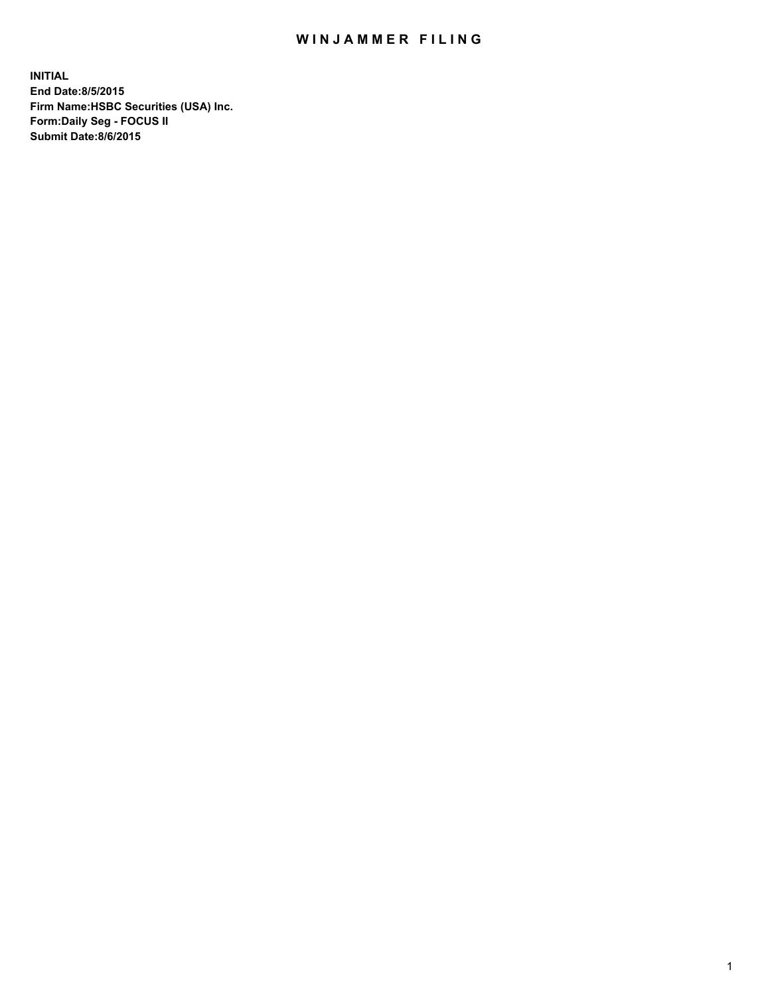## WIN JAMMER FILING

**INITIAL End Date:8/5/2015 Firm Name:HSBC Securities (USA) Inc. Form:Daily Seg - FOCUS II Submit Date:8/6/2015**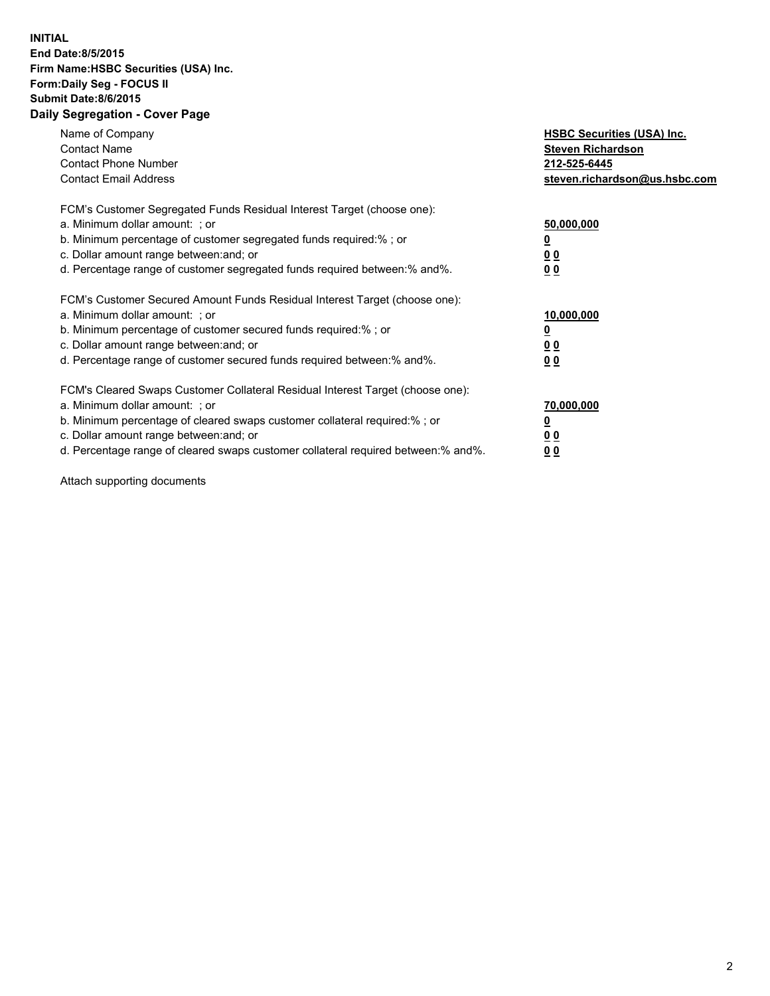## **INITIAL End Date:8/5/2015 Firm Name:HSBC Securities (USA) Inc. Form:Daily Seg - FOCUS II Submit Date:8/6/2015 Daily Segregation - Cover Page**

| Name of Company<br><b>Contact Name</b><br><b>Contact Phone Number</b><br><b>Contact Email Address</b>                                                                                                                                                                                                                         | <b>HSBC Securities (USA) Inc.</b><br><b>Steven Richardson</b><br>212-525-6445<br>steven.richardson@us.hsbc.com |
|-------------------------------------------------------------------------------------------------------------------------------------------------------------------------------------------------------------------------------------------------------------------------------------------------------------------------------|----------------------------------------------------------------------------------------------------------------|
| FCM's Customer Segregated Funds Residual Interest Target (choose one):<br>a. Minimum dollar amount: ; or<br>b. Minimum percentage of customer segregated funds required:% ; or<br>c. Dollar amount range between: and; or<br>d. Percentage range of customer segregated funds required between: % and %.                      | 50,000,000<br>00<br>0 <sub>0</sub>                                                                             |
| FCM's Customer Secured Amount Funds Residual Interest Target (choose one):<br>a. Minimum dollar amount: ; or<br>b. Minimum percentage of customer secured funds required:%; or<br>c. Dollar amount range between: and; or<br>d. Percentage range of customer secured funds required between:% and%.                           | 10,000,000<br>0 <sub>0</sub><br>0 <sub>0</sub>                                                                 |
| FCM's Cleared Swaps Customer Collateral Residual Interest Target (choose one):<br>a. Minimum dollar amount: ; or<br>b. Minimum percentage of cleared swaps customer collateral required:%; or<br>c. Dollar amount range between: and; or<br>d. Percentage range of cleared swaps customer collateral required between:% and%. | 70,000,000<br>0 <sub>0</sub><br>00                                                                             |

Attach supporting documents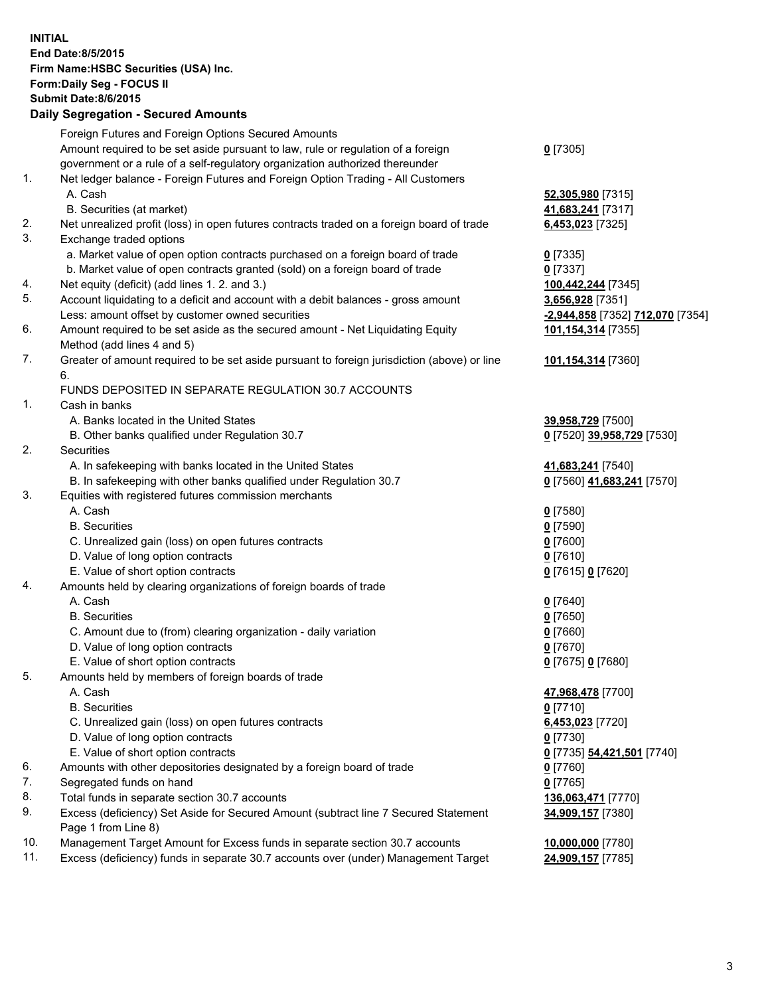**INITIAL End Date:8/5/2015 Firm Name:HSBC Securities (USA) Inc. Form:Daily Seg - FOCUS II Submit Date:8/6/2015 Daily Segregation - Secured Amounts** Foreign Futures and Foreign Options Secured Amounts Amount required to be set aside pursuant to law, rule or regulation of a foreign government or a rule of a self-regulatory organization authorized thereunder **0** [7305] 1. Net ledger balance - Foreign Futures and Foreign Option Trading - All Customers A. Cash **52,305,980** [7315] B. Securities (at market) **41,683,241** [7317] 2. Net unrealized profit (loss) in open futures contracts traded on a foreign board of trade **6,453,023** [7325] 3. Exchange traded options a. Market value of open option contracts purchased on a foreign board of trade **0** [7335] b. Market value of open contracts granted (sold) on a foreign board of trade **0** [7337] 4. Net equity (deficit) (add lines 1. 2. and 3.) **100,442,244** [7345] 5. Account liquidating to a deficit and account with a debit balances - gross amount **3,656,928** [7351] Less: amount offset by customer owned securities **-2,944,858** [7352] **712,070** [7354] 6. Amount required to be set aside as the secured amount - Net Liquidating Equity Method (add lines 4 and 5) **101,154,314** [7355] 7. Greater of amount required to be set aside pursuant to foreign jurisdiction (above) or line 6. **101,154,314** [7360] FUNDS DEPOSITED IN SEPARATE REGULATION 30.7 ACCOUNTS 1. Cash in banks A. Banks located in the United States **39,958,729** [7500] B. Other banks qualified under Regulation 30.7 **0** [7520] **39,958,729** [7530] 2. Securities A. In safekeeping with banks located in the United States **41,683,241** [7540] B. In safekeeping with other banks qualified under Regulation 30.7 **0** [7560] **41,683,241** [7570] 3. Equities with registered futures commission merchants A. Cash **0** [7580] B. Securities **0** [7590] C. Unrealized gain (loss) on open futures contracts **0** [7600] D. Value of long option contracts **0** [7610] E. Value of short option contracts **0** [7615] **0** [7620] 4. Amounts held by clearing organizations of foreign boards of trade A. Cash **0** [7640] B. Securities **0** [7650] C. Amount due to (from) clearing organization - daily variation **0** [7660] D. Value of long option contracts **0** [7670] E. Value of short option contracts **0** [7675] **0** [7680] 5. Amounts held by members of foreign boards of trade A. Cash **47,968,478** [7700] B. Securities **0** [7710] C. Unrealized gain (loss) on open futures contracts **6,453,023** [7720] D. Value of long option contracts **0** [7730] E. Value of short option contracts **0** [7735] **54,421,501** [7740] 6. Amounts with other depositories designated by a foreign board of trade **0** [7760] 7. Segregated funds on hand **0** [7765] 8. Total funds in separate section 30.7 accounts **136,063,471** [7770] 9. Excess (deficiency) Set Aside for Secured Amount (subtract line 7 Secured Statement Page 1 from Line 8) **34,909,157** [7380] 10. Management Target Amount for Excess funds in separate section 30.7 accounts **10,000,000** [7780] 11. Excess (deficiency) funds in separate 30.7 accounts over (under) Management Target **24,909,157** [7785]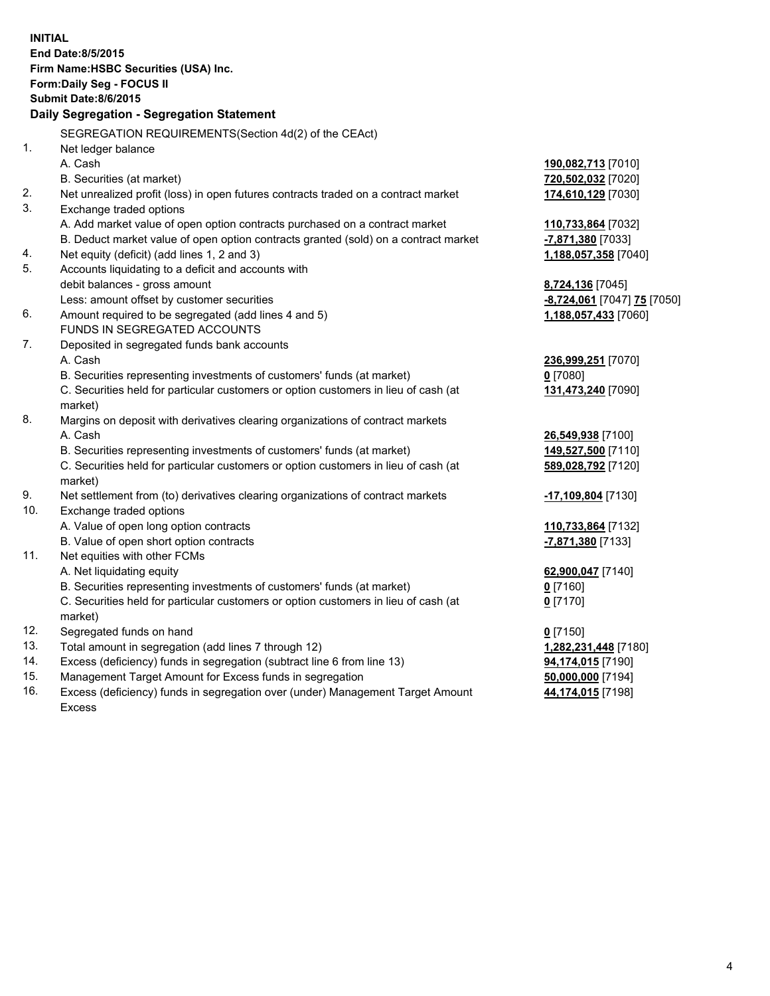| <b>INITIAL</b>                            | End Date: 8/5/2015                                                                  |                             |  |  |  |
|-------------------------------------------|-------------------------------------------------------------------------------------|-----------------------------|--|--|--|
| Firm Name: HSBC Securities (USA) Inc.     |                                                                                     |                             |  |  |  |
| Form: Daily Seg - FOCUS II                |                                                                                     |                             |  |  |  |
| <b>Submit Date:8/6/2015</b>               |                                                                                     |                             |  |  |  |
| Daily Segregation - Segregation Statement |                                                                                     |                             |  |  |  |
|                                           | SEGREGATION REQUIREMENTS(Section 4d(2) of the CEAct)                                |                             |  |  |  |
| 1.                                        | Net ledger balance                                                                  |                             |  |  |  |
|                                           | A. Cash                                                                             | 190,082,713 [7010]          |  |  |  |
|                                           | B. Securities (at market)                                                           | 720,502,032 [7020]          |  |  |  |
| 2.                                        | Net unrealized profit (loss) in open futures contracts traded on a contract market  | 174,610,129 [7030]          |  |  |  |
| 3.                                        | Exchange traded options                                                             |                             |  |  |  |
|                                           | A. Add market value of open option contracts purchased on a contract market         | 110,733,864 [7032]          |  |  |  |
|                                           | B. Deduct market value of open option contracts granted (sold) on a contract market | -7,871,380 [7033]           |  |  |  |
| 4.                                        | Net equity (deficit) (add lines 1, 2 and 3)                                         | 1,188,057,358 [7040]        |  |  |  |
| 5.                                        | Accounts liquidating to a deficit and accounts with                                 |                             |  |  |  |
|                                           | debit balances - gross amount                                                       | 8,724,136 [7045]            |  |  |  |
|                                           | Less: amount offset by customer securities                                          | -8,724,061 [7047] 75 [7050] |  |  |  |
| 6.                                        | Amount required to be segregated (add lines 4 and 5)                                | 1,188,057,433 [7060]        |  |  |  |
|                                           | FUNDS IN SEGREGATED ACCOUNTS                                                        |                             |  |  |  |
| 7.                                        | Deposited in segregated funds bank accounts                                         |                             |  |  |  |
|                                           | A. Cash                                                                             | 236,999,251 [7070]          |  |  |  |
|                                           | B. Securities representing investments of customers' funds (at market)              | $0$ [7080]                  |  |  |  |
|                                           | C. Securities held for particular customers or option customers in lieu of cash (at | 131,473,240 [7090]          |  |  |  |
|                                           | market)                                                                             |                             |  |  |  |
| 8.                                        | Margins on deposit with derivatives clearing organizations of contract markets      |                             |  |  |  |
|                                           | A. Cash                                                                             | 26,549,938 [7100]           |  |  |  |
|                                           | B. Securities representing investments of customers' funds (at market)              | 149,527,500 [7110]          |  |  |  |
|                                           | C. Securities held for particular customers or option customers in lieu of cash (at | 589,028,792 [7120]          |  |  |  |
|                                           | market)                                                                             |                             |  |  |  |
| 9.                                        | Net settlement from (to) derivatives clearing organizations of contract markets     | <u>-17,109,804</u> [7130]   |  |  |  |
| 10.                                       | Exchange traded options                                                             |                             |  |  |  |
|                                           | A. Value of open long option contracts                                              | 110,733,864 [7132]          |  |  |  |
|                                           | B. Value of open short option contracts                                             | -7,871,380 [7133]           |  |  |  |
| 11.                                       | Net equities with other FCMs                                                        |                             |  |  |  |
|                                           | A. Net liquidating equity                                                           | 62,900,047 [7140]           |  |  |  |
|                                           | B. Securities representing investments of customers' funds (at market)              | <u>0</u> [7160]             |  |  |  |
|                                           | C. Securities held for particular customers or option customers in lieu of cash (at | $0$ [7170]                  |  |  |  |
|                                           | market)                                                                             |                             |  |  |  |
| 12.                                       | Segregated funds on hand                                                            | $0$ [7150]                  |  |  |  |
| 13.                                       | Total amount in segregation (add lines 7 through 12)                                | 1,282,231,448 [7180]        |  |  |  |
| 14.                                       | Excess (deficiency) funds in segregation (subtract line 6 from line 13)             | 94,174,015 [7190]           |  |  |  |
| 15.                                       | Management Target Amount for Excess funds in segregation                            | 50,000,000 [7194]           |  |  |  |

16. Excess (deficiency) funds in segregation over (under) Management Target Amount Excess

**44,174,015** [7198]